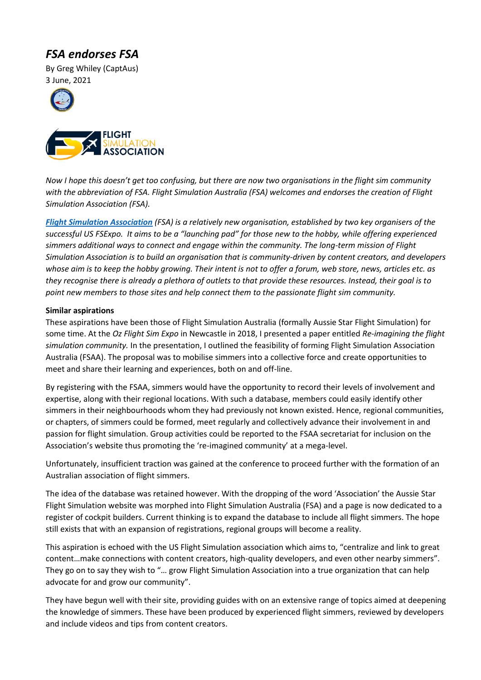## *FSA endorses FSA*

By Greg Whiley (CaptAus) 3 June, 2021





*Now I hope this doesn't get too confusing, but there are now two organisations in the flight sim community with the abbreviation of FSA. Flight Simulation Australia (FSA) welcomes and endorses the creation of Flight Simulation Association (FSA).*

*[Flight Simulation Association](https://flightsimassociation.com/) (FSA) is a relatively new organisation, established by two key organisers of the successful US FSExpo. It aims to be a "launching pad" for those new to the hobby, while offering experienced simmers additional ways to connect and engage within the community. The long-term mission of Flight Simulation Association is to build an organisation that is community-driven by content creators, and developers whose aim is to keep the hobby growing. Their intent is not to offer a forum, web store, news, articles etc. as they recognise there is already a plethora of outlets to that provide these resources. Instead, their goal is to point new members to those sites and help connect them to the passionate flight sim community.*

## **Similar aspirations**

These aspirations have been those of Flight Simulation Australia (formally Aussie Star Flight Simulation) for some time. At the *Oz Flight Sim Expo* in Newcastle in 2018, I presented a paper entitled *Re-imagining the flight simulation community.* In the presentation, I outlined the feasibility of forming Flight Simulation Association Australia (FSAA). The proposal was to mobilise simmers into a collective force and create opportunities to meet and share their learning and experiences, both on and off-line.

By registering with the FSAA, simmers would have the opportunity to record their levels of involvement and expertise, along with their regional locations. With such a database, members could easily identify other simmers in their neighbourhoods whom they had previously not known existed. Hence, regional communities, or chapters, of simmers could be formed, meet regularly and collectively advance their involvement in and passion for flight simulation. Group activities could be reported to the FSAA secretariat for inclusion on the Association's website thus promoting the 're-imagined community' at a mega-level.

Unfortunately, insufficient traction was gained at the conference to proceed further with the formation of an Australian association of flight simmers.

The idea of the database was retained however. With the dropping of the word 'Association' the Aussie Star Flight Simulation website was morphed into Flight Simulation Australia (FSA) and a page is now dedicated to a register of cockpit builders. Current thinking is to expand the database to include all flight simmers. The hope still exists that with an expansion of registrations, regional groups will become a reality.

This aspiration is echoed with the US Flight Simulation association which aims to, "centralize and link to great content…make connections with content creators, high-quality developers, and even other nearby simmers". They go on to say they wish to "… grow Flight Simulation Association into a true organization that can help advocate for and grow our community".

They have begun well with their site, providing guides with on an extensive range of topics aimed at deepening the knowledge of simmers. These have been produced by experienced flight simmers, reviewed by developers and include videos and tips from content creators.